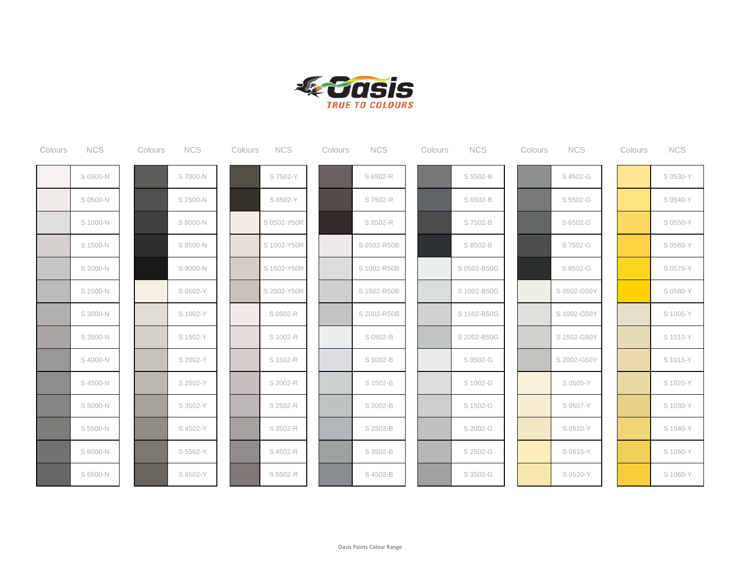

| Colours | <b>NCS</b> | Colours | <b>NCS</b> | Colours | <b>NCS</b>  | Colours | <b>NCS</b>  | Colours | <b>NCS</b>  | Colours | <b>NCS</b>  | Colours | <b>NCS</b> |
|---------|------------|---------|------------|---------|-------------|---------|-------------|---------|-------------|---------|-------------|---------|------------|
|         | S 0300-N   |         | S 7000-N   |         | S 7502-Y    |         | S 6502-R    |         | S 5502-B    |         | S 4502-G    |         | S 0530-Y   |
|         | S 0500-N   |         | S 7500-N   |         | S 8502-Y    |         | S 7502-R    |         | S 6502-B    |         | S 5502-G    |         | S 0540-Y   |
|         | S 1000-N   |         | S 8000-N   |         | S 0502-Y50R |         | S 8502-R    |         | S 7502-B    |         | S 6502-G    |         | S 0550-Y   |
|         | S 1500-N   |         | S 8500-N   |         | S 1002-Y50R |         | S 0502-R50B |         | S 8502-B    |         | S 7502-G    |         | S 0560-Y   |
|         | S 2000-N   |         | S 9000-N   |         | S 1502-Y50R |         | S 1002-R50B |         | S 0502-B50G |         | S 8502-G    |         | S 0570-Y   |
|         | S 2500-N   |         | S 0502-Y   |         | S 2002-Y50R |         | S 1502-R50B |         | S 1002-B50G |         | S 0502-G50Y |         | S 0580-Y   |
|         | S 3000-N   |         | S 1002-Y   |         | S 0502-R    |         | S 2002-R50B |         | S 1502-B50G |         | S 1002-G50Y |         | S 1005-Y   |
|         | S 3500-N   |         | S 1502-Y   |         | S 1002-R    |         | S 0502-B    |         | S 2002-B50G |         | S 1502-G50Y |         | S 1010-Y   |
|         | S 4000-N   |         | S 2002-Y   |         | S 1502-R    |         | S 1002-B    |         | S 0502-G    |         | S 2002-G50Y |         | S 1015-Y   |
|         | S 4500-N   |         | S 2502-Y   |         | S 2002-R    |         | S 1502-B    |         | S 1002-G    |         | S 0505-Y    |         | S 1020-Y   |
|         | S 5000-N   |         | S 3502-Y   |         | S 2502-R    |         | S 2002-B    |         | S 1502-G    |         | S 0507-Y    |         | S 1030-Y   |
|         | S 5500-N   |         | S 4502-Y   |         | S 3502-R    |         | S 2502-B    |         | S 2002-G    |         | S 0510-Y    |         | S 1040-Y   |
|         | S 6000-N   |         | S 5502-Y   |         | S 4502-R    |         | S 3502-B    |         | S 2502-G    |         | S 0515-Y    |         | S 1050-Y   |
|         | S 6500-N   |         | S 6502-Y   |         | S 5502-R    |         | S 4502-B    |         | S 3502-G    |         | S 0520-Y    |         | S 1060-Y   |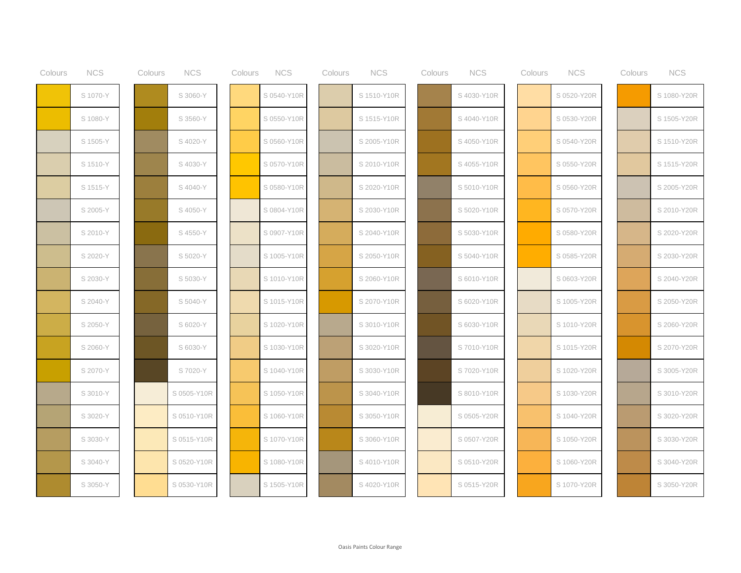| Colours | <b>NCS</b> | Colours | <b>NCS</b>  | Colours | <b>NCS</b>  | Colours | <b>NCS</b>  | Colours | <b>NCS</b>  | Colours | <b>NCS</b>  | Colours | <b>NCS</b>  |
|---------|------------|---------|-------------|---------|-------------|---------|-------------|---------|-------------|---------|-------------|---------|-------------|
|         | S 1070-Y   |         | S 3060-Y    |         | S 0540-Y10R |         | S 1510-Y10R |         | S 4030-Y10R |         | S 0520-Y20R |         | S 1080-Y20R |
|         | S 1080-Y   |         | S 3560-Y    |         | S 0550-Y10R |         | S 1515-Y10R |         | S 4040-Y10R |         | S 0530-Y20R |         | S 1505-Y20R |
|         | S 1505-Y   |         | S 4020-Y    |         | S 0560-Y10R |         | S 2005-Y10R |         | S 4050-Y10R |         | S 0540-Y20R |         | S 1510-Y20R |
|         | S 1510-Y   |         | S 4030-Y    |         | S 0570-Y10R |         | S 2010-Y10R |         | S 4055-Y10R |         | S 0550-Y20R |         | S 1515-Y20R |
|         | S 1515-Y   |         | S 4040-Y    |         | S 0580-Y10R |         | S 2020-Y10R |         | S 5010-Y10R |         | S 0560-Y20R |         | S 2005-Y20R |
|         | S 2005-Y   |         | S 4050-Y    |         | S 0804-Y10R |         | S 2030-Y10R |         | S 5020-Y10R |         | S 0570-Y20R |         | S 2010-Y20R |
|         | S 2010-Y   |         | S 4550-Y    |         | S 0907-Y10R |         | S 2040-Y10R |         | S 5030-Y10R |         | S 0580-Y20R |         | S 2020-Y20R |
|         | S 2020-Y   |         | S 5020-Y    |         | S 1005-Y10R |         | S 2050-Y10R |         | S 5040-Y10R |         | S 0585-Y20R |         | S 2030-Y20R |
|         | S 2030-Y   |         | S 5030-Y    |         | S 1010-Y10R |         | S 2060-Y10R |         | S 6010-Y10R |         | S 0603-Y20R |         | S 2040-Y20R |
|         | S 2040-Y   |         | S 5040-Y    |         | S 1015-Y10R |         | S 2070-Y10R |         | S 6020-Y10R |         | S 1005-Y20R |         | S 2050-Y20R |
|         | S 2050-Y   |         | S 6020-Y    |         | S 1020-Y10R |         | S 3010-Y10R |         | S 6030-Y10R |         | S 1010-Y20R |         | S 2060-Y20R |
|         | S 2060-Y   |         | S 6030-Y    |         | S 1030-Y10R |         | S 3020-Y10R |         | S 7010-Y10R |         | S 1015-Y20R |         | S 2070-Y20R |
|         | S 2070-Y   |         | S 7020-Y    |         | S 1040-Y10R |         | S 3030-Y10R |         | S 7020-Y10R |         | S 1020-Y20R |         | S 3005-Y20R |
|         | S 3010-Y   |         | S 0505-Y10R |         | S 1050-Y10R |         | S 3040-Y10R |         | S 8010-Y10R |         | S 1030-Y20R |         | S 3010-Y20R |
|         | S 3020-Y   |         | S 0510-Y10R |         | S 1060-Y10R |         | S 3050-Y10R |         | S 0505-Y20R |         | S 1040-Y20R |         | S 3020-Y20R |
|         | S 3030-Y   |         | S 0515-Y10R |         | S 1070-Y10R |         | S 3060-Y10R |         | S 0507-Y20R |         | S 1050-Y20R |         | S 3030-Y20R |
|         | S 3040-Y   |         | S 0520-Y10R |         | S 1080-Y10R |         | S 4010-Y10R |         | S 0510-Y20R |         | S 1060-Y20R |         | S 3040-Y20R |
|         | S 3050-Y   |         | S 0530-Y10R |         | S 1505-Y10R |         | S 4020-Y10R |         | S 0515-Y20R |         | S 1070-Y20R |         | S 3050-Y20R |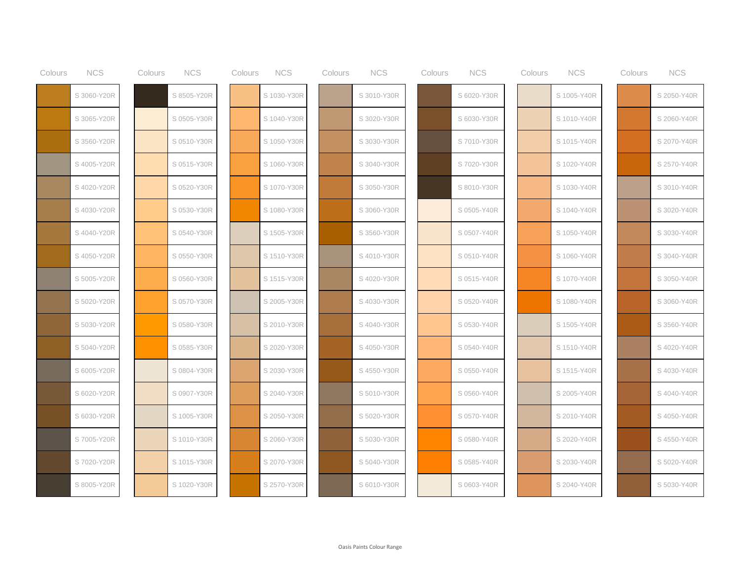| Colours | <b>NCS</b>  | Colours | <b>NCS</b>  | Colours | <b>NCS</b>  | Colours | <b>NCS</b>  | Colours | <b>NCS</b>  | Colours | <b>NCS</b>  | Colours | <b>NCS</b>  |
|---------|-------------|---------|-------------|---------|-------------|---------|-------------|---------|-------------|---------|-------------|---------|-------------|
|         | S 3060-Y20R |         | S 8505-Y20R |         | S 1030-Y30R |         | S 3010-Y30R |         | S 6020-Y30R |         | S 1005-Y40R |         | S 2050-Y40R |
|         | S 3065-Y20R |         | S 0505-Y30R |         | S 1040-Y30R |         | S 3020-Y30R |         | S 6030-Y30R |         | S 1010-Y40R |         | S 2060-Y40R |
|         | S 3560-Y20R |         | S 0510-Y30R |         | S 1050-Y30R |         | S 3030-Y30R |         | S 7010-Y30R |         | S 1015-Y40R |         | S 2070-Y40R |
|         | S 4005-Y20R |         | S 0515-Y30R |         | S 1060-Y30R |         | S 3040-Y30R |         | S 7020-Y30R |         | S 1020-Y40R |         | S 2570-Y40R |
|         | S 4020-Y20R |         | S 0520-Y30R |         | S 1070-Y30R |         | S 3050-Y30R |         | S 8010-Y30R |         | S 1030-Y40R |         | S 3010-Y40R |
|         | S 4030-Y20R |         | S 0530-Y30R |         | S 1080-Y30R |         | S 3060-Y30R |         | S 0505-Y40R |         | S 1040-Y40R |         | S 3020-Y40R |
|         | S 4040-Y20R |         | S 0540-Y30R |         | S 1505-Y30R |         | S 3560-Y30R |         | S 0507-Y40R |         | S 1050-Y40R |         | S 3030-Y40R |
|         | S 4050-Y20R |         | S 0550-Y30R |         | S 1510-Y30R |         | S 4010-Y30R |         | S 0510-Y40R |         | S 1060-Y40R |         | S 3040-Y40R |
|         | S 5005-Y20R |         | S 0560-Y30R |         | S 1515-Y30R |         | S 4020-Y30R |         | S 0515-Y40R |         | S 1070-Y40R |         | S 3050-Y40R |
|         | S 5020-Y20R |         | S 0570-Y30R |         | S 2005-Y30R |         | S 4030-Y30R |         | S 0520-Y40R |         | S 1080-Y40R |         | S 3060-Y40R |
|         | S 5030-Y20R |         | S 0580-Y30R |         | S 2010-Y30R |         | S 4040-Y30R |         | S 0530-Y40R |         | S 1505-Y40R |         | S 3560-Y40R |
|         | S 5040-Y20R |         | S 0585-Y30R |         | S 2020-Y30R |         | S 4050-Y30R |         | S 0540-Y40R |         | S 1510-Y40R |         | S 4020-Y40R |
|         | S 6005-Y20R |         | S 0804-Y30R |         | S 2030-Y30R |         | S 4550-Y30R |         | S 0550-Y40R |         | S 1515-Y40R |         | S 4030-Y40R |
|         | S 6020-Y20R |         | S 0907-Y30R |         | S 2040-Y30R |         | S 5010-Y30R |         | S 0560-Y40R |         | S 2005-Y40R |         | S 4040-Y40R |
|         | S 6030-Y20R |         | S 1005-Y30R |         | S 2050-Y30R |         | S 5020-Y30R |         | S 0570-Y40R |         | S 2010-Y40R |         | S 4050-Y40R |
|         | S 7005-Y20R |         | S 1010-Y30R |         | S 2060-Y30R |         | S 5030-Y30R |         | S 0580-Y40R |         | S 2020-Y40R |         | S 4550-Y40R |
|         | S 7020-Y20R |         | S 1015-Y30R |         | S 2070-Y30R |         | S 5040-Y30R |         | S 0585-Y40R |         | S 2030-Y40R |         | S 5020-Y40R |
|         | S 8005-Y20R |         | S 1020-Y30R |         | S 2570-Y30R |         | S 6010-Y30R |         | S 0603-Y40R |         | S 2040-Y40R |         | S 5030-Y40R |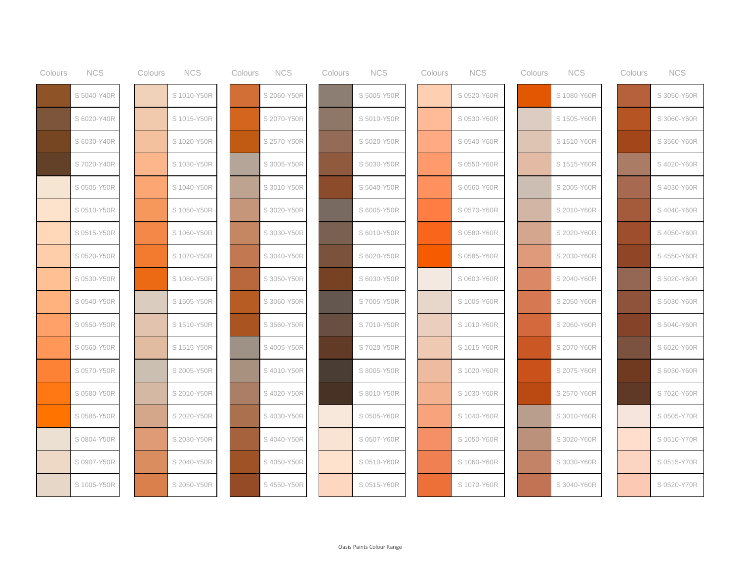| Colours | <b>NCS</b>  | Colours | <b>NCS</b>  | Colours | <b>NCS</b>  | Colours | <b>NCS</b>  | Colours | <b>NCS</b>  | Colours | <b>NCS</b>  | Colours | <b>NCS</b>  |
|---------|-------------|---------|-------------|---------|-------------|---------|-------------|---------|-------------|---------|-------------|---------|-------------|
|         | S 5040-Y40R |         | S 1010-Y50R |         | S 2060-Y50R |         | S 5005-Y50R |         | S 0520-Y60R |         | S 1080-Y60R |         | S 3050-Y60R |
|         | S 6020-Y40R |         | S 1015-Y50R |         | S 2070-Y50R |         | S 5010-Y50R |         | S 0530-Y60R |         | S 1505-Y60R |         | S 3060-Y60R |
|         | S 6030-Y40R |         | S 1020-Y50R |         | S 2570-Y50R |         | S 5020-Y50R |         | S 0540-Y60R |         | S 1510-Y60R |         | S 3560-Y60R |
|         | S 7020-Y40R |         | S 1030-Y50R |         | S 3005-Y50R |         | S 5030-Y50R |         | S 0550-Y60R |         | S 1515-Y60R |         | S 4020-Y60R |
|         | S 0505-Y50R |         | S 1040-Y50R |         | S 3010-Y50R |         | S 5040-Y50R |         | S 0560-Y60R |         | S 2005-Y60R |         | S 4030-Y60R |
|         | S 0510-Y50R |         | S 1050-Y50R |         | S 3020-Y50R |         | S 6005-Y50R |         | S 0570-Y60R |         | S 2010-Y60R |         | S 4040-Y60R |
|         | S 0515-Y50R |         | S 1060-Y50R |         | S 3030-Y50R |         | S 6010-Y50R |         | S 0580-Y60R |         | S 2020-Y60R |         | S 4050-Y60R |
|         | S 0520-Y50R |         | S 1070-Y50R |         | S 3040-Y50R |         | S 6020-Y50R |         | S 0585-Y60R |         | S 2030-Y60R |         | S 4550-Y60R |
|         | S 0530-Y50R |         | S 1080-Y50R |         | S 3050-Y50R |         | S 6030-Y50R |         | S 0603-Y60R |         | S 2040-Y60R |         | S 5020-Y60R |
|         | S 0540-Y50R |         | S 1505-Y50R |         | S 3060-Y50R |         | S 7005-Y50R |         | S 1005-Y60R |         | S 2050-Y60R |         | S 5030-Y60R |
|         | S 0550-Y50R |         | S 1510-Y50R |         | S 3560-Y50R |         | S7010-Y50R  |         | S 1010-Y60R |         | S 2060-Y60R |         | S 5040-Y60R |
|         | S 0560-Y50R |         | S 1515-Y50R |         | S 4005-Y50R |         | S 7020-Y50R |         | S 1015-Y60R |         | S 2070-Y60R |         | S 6020-Y60R |
|         | S 0570-Y50R |         | S 2005-Y50R |         | S 4010-Y50R |         | S 8005-Y50R |         | S 1020-Y60R |         | S 2075-Y60R |         | S 6030-Y60R |
|         | S 0580-Y50R |         | S 2010-Y50R |         | S 4020-Y50R |         | S 8010-Y50R |         | S 1030-Y60R |         | S 2570-Y60R |         | S 7020-Y60R |
|         | S 0585-Y50R |         | S 2020-Y50R |         | S 4030-Y50R |         | S 0505-Y60R |         | S 1040-Y60R |         | S 3010-Y60R |         | S 0505-Y70R |
|         | S 0804-Y50R |         | S 2030-Y50R |         | S 4040-Y50R |         | S 0507-Y60R |         | S 1050-Y60R |         | S 3020-Y60R |         | S 0510-Y70R |
|         | S 0907-Y50R |         | S 2040-Y50R |         | S 4050-Y50R |         | S 0510-Y60R |         | S 1060-Y60R |         | S 3030-Y60R |         | S 0515-Y70R |
|         | S 1005-Y50R |         | S 2050-Y50R |         | S 4550-Y50R |         | S 0515-Y60R |         | S 1070-Y60R |         | S 3040-Y60R |         | S 0520-Y70R |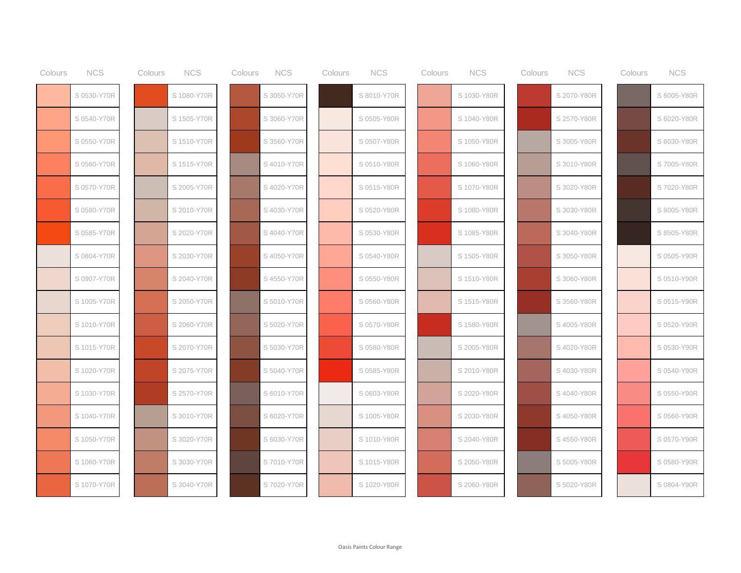| Colours | <b>NCS</b>  | Colours | <b>NCS</b>  | Colours | <b>NCS</b>  | Colours | <b>NCS</b>  | Colours | <b>NCS</b>  | Colours | <b>NCS</b>  | Colours | <b>NCS</b>  |
|---------|-------------|---------|-------------|---------|-------------|---------|-------------|---------|-------------|---------|-------------|---------|-------------|
|         | S 0530-Y70R |         | S 1080-Y70R |         | S 3050-Y70R |         | S 8010-Y70R |         | S 1030-Y80R |         | S 2070-Y80R |         | S 6005-Y80R |
|         | S 0540-Y70R |         | S 1505-Y70R |         | S 3060-Y70R |         | S 0505-Y80R |         | S 1040-Y80R |         | S 2570-Y80R |         | S 6020-Y80R |
|         | S 0550-Y70R |         | S 1510-Y70R |         | S 3560-Y70R |         | S 0507-Y80R |         | S 1050-Y80R |         | S 3005-Y80R |         | S 6030-Y80R |
|         | S 0560-Y70R |         | S 1515-Y70R |         | S 4010-Y70R |         | S 0510-Y80R |         | S 1060-Y80R |         | S 3010-Y80R |         | S 7005-Y80R |
|         | S 0570-Y70R |         | S 2005-Y70R |         | S 4020-Y70R |         | S 0515-Y80R |         | S 1070-Y80R |         | S 3020-Y80R |         | S 7020-Y80R |
|         | S 0580-Y70R |         | S 2010-Y70R |         | S 4030-Y70R |         | S 0520-Y80R |         | S 1080-Y80R |         | S 3030-Y80R |         | S 8005-Y80R |
|         | S 0585-Y70R |         | S 2020-Y70R |         | S 4040-Y70R |         | S 0530-Y80R |         | S 1085-Y80R |         | S 3040-Y80R |         | S 8505-Y80R |
|         | S 0804-Y70R |         | S 2030-Y70R |         | S4050-Y70R  |         | S 0540-Y80R |         | S 1505-Y80R |         | S 3050-Y80R |         | S 0505-Y90R |
|         | S 0907-Y70R |         | S 2040-Y70R |         | S 4550-Y70R |         | S 0550-Y80R |         | S 1510-Y80R |         | S 3060-Y80R |         | S 0510-Y90R |
|         | S 1005-Y70R |         | S 2050-Y70R |         | S 5010-Y70R |         | S 0560-Y80R |         | S 1515-Y80R |         | S 3560-Y80R |         | S 0515-Y90R |
|         | S 1010-Y70R |         | S 2060-Y70R |         | S 5020-Y70R |         | S 0570-Y80R |         | S 1580-Y80R |         | S 4005-Y80R |         | S 0520-Y90R |
|         | S 1015-Y70R |         | S 2070-Y70R |         | S 5030-Y70R |         | S 0580-Y80R |         | S 2005-Y80R |         | S 4020-Y80R |         | S 0530-Y90R |
|         | S 1020-Y70R |         | S 2075-Y70R |         | S 5040-Y70R |         | S 0585-Y80R |         | S 2010-Y80R |         | S 4030-Y80R |         | S 0540-Y90R |
|         | S 1030-Y70R |         | S 2570-Y70R |         | S 6010-Y70R |         | S 0603-Y80R |         | S 2020-Y80R |         | S 4040-Y80R |         | S 0550-Y90R |
|         | S 1040-Y70R |         | S 3010-Y70R |         | S 6020-Y70R |         | S 1005-Y80R |         | S 2030-Y80R |         | S 4050-Y80R |         | S 0560-Y90R |
|         | S 1050-Y70R |         | S 3020-Y70R |         | S 6030-Y70R |         | S 1010-Y80R |         | S 2040-Y80R |         | S 4550-Y80R |         | S 0570-Y90R |
|         | S 1060-Y70R |         | S 3030-Y70R |         | S7010-Y70R  |         | S 1015-Y80R |         | S 2050-Y80R |         | S 5005-Y80R |         | S 0580-Y90R |
|         | S 1070-Y70R |         | S 3040-Y70R |         | S 7020-Y70R |         | S 1020-Y80R |         | S 2060-Y80R |         | S 5020-Y80R |         | S 0804-Y90R |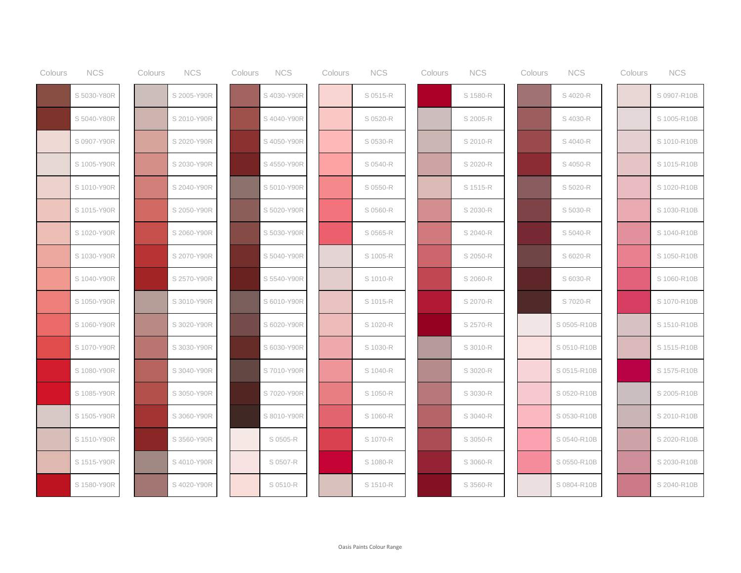| Colours | <b>NCS</b>  | Colours | <b>NCS</b>  | Colours | <b>NCS</b>  | Colours | <b>NCS</b> | Colours | <b>NCS</b> | Colours | <b>NCS</b>  | Colours | <b>NCS</b>  |
|---------|-------------|---------|-------------|---------|-------------|---------|------------|---------|------------|---------|-------------|---------|-------------|
|         | S 5030-Y80R |         | S 2005-Y90R |         | S 4030-Y90R |         | S 0515-R   |         | S 1580-R   |         | S 4020-R    |         | S 0907-R10B |
|         | S 5040-Y80R |         | S 2010-Y90R |         | S 4040-Y90R |         | S 0520-R   |         | S 2005-R   |         | S 4030-R    |         | S 1005-R10B |
|         | S 0907-Y90R |         | S 2020-Y90R |         | S 4050-Y90R |         | S 0530-R   |         | S 2010-R   |         | S 4040-R    |         | S 1010-R10B |
|         | S 1005-Y90R |         | S 2030-Y90R |         | S 4550-Y90R |         | S 0540-R   |         | S 2020-R   |         | S 4050-R    |         | S 1015-R10B |
|         | S 1010-Y90R |         | S 2040-Y90R |         | S 5010-Y90R |         | S 0550-R   |         | S 1515-R   |         | S 5020-R    |         | S 1020-R10B |
|         | S 1015-Y90R |         | S 2050-Y90R |         | S 5020-Y90R |         | S 0560-R   |         | S 2030-R   |         | S 5030-R    |         | S 1030-R10B |
|         | S 1020-Y90R |         | S 2060-Y90R |         | S 5030-Y90R |         | S 0565-R   |         | S 2040-R   |         | S 5040-R    |         | S 1040-R10B |
|         | S 1030-Y90R |         | S 2070-Y90R |         | S 5040-Y90R |         | S 1005-R   |         | S 2050-R   |         | S 6020-R    |         | S 1050-R10B |
|         | S 1040-Y90R |         | S 2570-Y90R |         | S 5540-Y90R |         | S 1010-R   |         | S 2060-R   |         | S 6030-R    |         | S 1060-R10B |
|         | S 1050-Y90R |         | S 3010-Y90R |         | S 6010-Y90R |         | S 1015-R   |         | S 2070-R   |         | S 7020-R    |         | S 1070-R10B |
|         | S 1060-Y90R |         | S 3020-Y90R |         | S 6020-Y90R |         | S 1020-R   |         | S 2570-R   |         | S 0505-R10B |         | S 1510-R10B |
|         | S 1070-Y90R |         | S 3030-Y90R |         | S 6030-Y90R |         | S 1030-R   |         | S 3010-R   |         | S 0510-R10B |         | S 1515-R10B |
|         | S 1080-Y90R |         | S 3040-Y90R |         | S 7010-Y90R |         | S 1040-R   |         | S 3020-R   |         | S 0515-R10B |         | S 1575-R10B |
|         | S 1085-Y90R |         | S 3050-Y90R |         | S 7020-Y90R |         | S 1050-R   |         | S 3030-R   |         | S 0520-R10B |         | S 2005-R10B |
|         | S 1505-Y90R |         | S 3060-Y90R |         | S 8010-Y90R |         | S 1060-R   |         | S 3040-R   |         | S 0530-R10B |         | S 2010-R10B |
|         | S 1510-Y90R |         | S 3560-Y90R |         | S 0505-R    |         | S 1070-R   |         | S 3050-R   |         | S 0540-R10B |         | S 2020-R10B |
|         | S 1515-Y90R |         | S 4010-Y90R |         | S 0507-R    |         | S 1080-R   |         | S 3060-R   |         | S 0550-R10B |         | S 2030-R10B |
|         | S 1580-Y90R |         | S 4020-Y90R |         | S 0510-R    |         | S 1510-R   |         | S 3560-R   |         | S 0804-R10B |         | S 2040-R10B |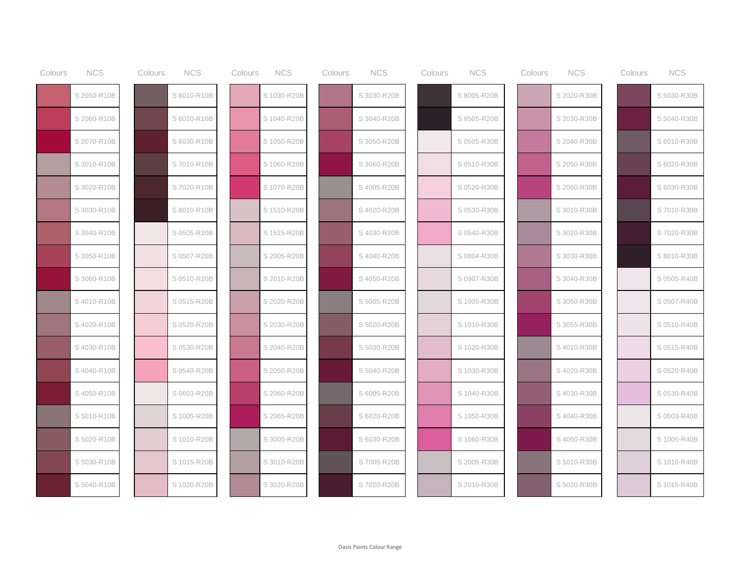| Colours | <b>NCS</b>  | <b>NCS</b><br>Colours | Colours | <b>NCS</b>  | Colours | <b>NCS</b>  | Colours | <b>NCS</b>  | Colours | <b>NCS</b>  | Colours | <b>NCS</b>  |
|---------|-------------|-----------------------|---------|-------------|---------|-------------|---------|-------------|---------|-------------|---------|-------------|
|         | S 2050-R10B | S 6010-R10B           |         | S 1030-R20B |         | S 3030-R20B |         | S 8005-R20B |         | S 2020-R30B |         | S 5030-R30B |
|         | S 2060-R10B | S 6020-R10B           |         | S 1040-R20B |         | S 3040-R20B |         | S 8505-R20B |         | S 2030-R30B |         | S 5040-R30B |
|         | S 2070-R10B | S 6030-R10B           |         | S 1050-R20B |         | S 3050-R20B |         | S 0505-R30B |         | S 2040-R30B |         | S 6010-R30B |
|         | S 3010-R10B | S7010-R10B            |         | S 1060-R20B |         | S 3060-R20B |         | S 0510-R30B |         | S 2050-R30B |         | S 6020-R30B |
|         | S 3020-R10B | S 7020-R10B           |         | S 1070-R20B |         | S 4005-R20B |         | S 0520-R30B |         | S 2060-R30B |         | S 6030-R30B |
|         | S 3030-R10B | S 8010-R10B           |         | S 1510-R20B |         | S 4020-R20B |         | S 0530-R30B |         | S 3010-R30B |         | S7010-R30B  |
|         | S 3040-R10B | S 0505-R20B           |         | S 1515-R20B |         | S 4030-R20B |         | S 0540-R30B |         | S 3020-R30B |         | S 7020-R30B |
|         | S 3050-R10B | S 0507-R20B           |         | S 2005-R20B |         | S 4040-R20B |         | S 0804-R30B |         | S 3030-R30B |         | S 8010-R30B |
|         | S 3060-R10B | S 0510-R20B           |         | S 2010-R20B |         | S 4050-R20B |         | S 0907-R30B |         | S 3040-R30B |         | S 0505-R40B |
|         | S 4010-R10B | S 0515-R20B           |         | S 2020-R20B |         | S 5005-R20B |         | S 1005-R30B |         | S 3050-R30B |         | S 0507-R40B |
|         | S 4020-R10B | S 0520-R20B           |         | S 2030-R20B |         | S 5020-R20B |         | S 1010-R30B |         | S 3055-R30B |         | S 0510-R40B |
|         | S 4030-R10B | S 0530-R20B           |         | S 2040-R20B |         | S 5030-R20B |         | S 1020-R30B |         | S 4010-R30B |         | S 0515-R40B |
|         | S4040-R10B  | S 0540-R20B           |         | S 2050-R20B |         | S 5040-R20B |         | S 1030-R30B |         | S 4020-R30B |         | S 0520-R40B |
|         | S 4050-R10B | S 0603-R20B           |         | S 2060-R20B |         | S 6005-R20B |         | S 1040-R30B |         | S 4030-R30B |         | S 0530-R40B |
|         | S 5010-R10B | S 1005-R20B           |         | S 2065-R20B |         | S 6020-R20B |         | S 1050-R30B |         | S 4040-R30B |         | S 0603-R40B |
|         | S 5020-R10B | S 1010-R20B           |         | S 3005-R20B |         | S 6030-R20B |         | S 1060-R30B |         | S 4050-R30B |         | S 1005-R40B |
|         | S 5030-R10B | S 1015-R20B           |         | S 3010-R20B |         | S 7005-R20B |         | S 2005-R30B |         | S 5010-R30B |         | S 1010-R40B |
|         | S 5040-R10B | S 1020-R20B           |         | S 3020-R20B |         | S 7020-R20B |         | S 2010-R30B |         | S 5020-R30B |         | S 1015-R40B |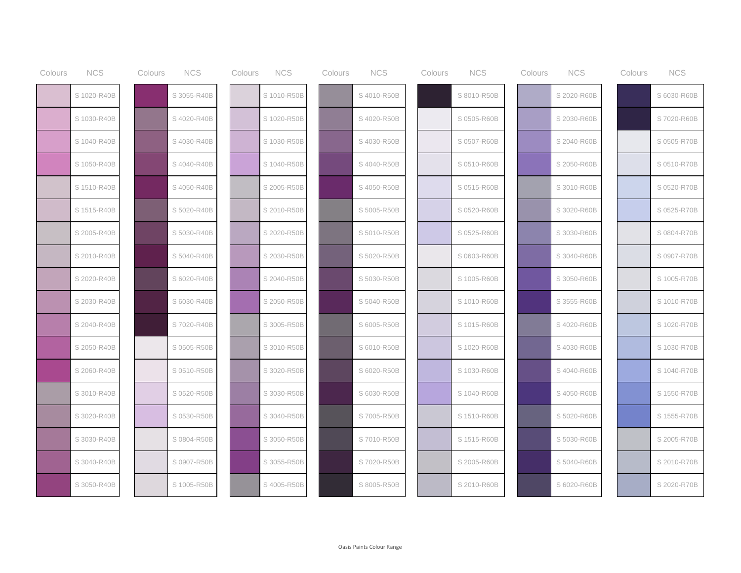| Colours | <b>NCS</b>  | Colours | <b>NCS</b>  | Colours | <b>NCS</b>  | Colours | <b>NCS</b>  | Colours | <b>NCS</b>  | Colours | <b>NCS</b>  | Colours | <b>NCS</b>  |
|---------|-------------|---------|-------------|---------|-------------|---------|-------------|---------|-------------|---------|-------------|---------|-------------|
|         | S 1020-R40B |         | S 3055-R40B |         | S 1010-R50B |         | S 4010-R50B |         | S 8010-R50B |         | S 2020-R60B |         | S 6030-R60B |
|         | S 1030-R40B |         | S 4020-R40B |         | S 1020-R50B |         | S 4020-R50B |         | S 0505-R60B |         | S 2030-R60B |         | S 7020-R60B |
|         | S 1040-R40B |         | S 4030-R40B |         | S 1030-R50B |         | S 4030-R50B |         | S 0507-R60B |         | S 2040-R60B |         | S 0505-R70B |
|         | S 1050-R40B |         | S 4040-R40B |         | S 1040-R50B |         | S 4040-R50B |         | S 0510-R60B |         | S 2050-R60B |         | S 0510-R70B |
|         | S 1510-R40B |         | S 4050-R40B |         | S 2005-R50B |         | S 4050-R50B |         | S 0515-R60B |         | S 3010-R60B |         | S 0520-R70B |
|         | S 1515-R40B |         | S 5020-R40B |         | S 2010-R50B |         | S 5005-R50B |         | S 0520-R60B |         | S 3020-R60B |         | S 0525-R70B |
|         | S 2005-R40B |         | S 5030-R40B |         | S 2020-R50B |         | S 5010-R50B |         | S 0525-R60B |         | S 3030-R60B |         | S 0804-R70B |
|         | S 2010-R40B |         | S 5040-R40B |         | S 2030-R50B |         | S 5020-R50B |         | S 0603-R60B |         | S 3040-R60B |         | S 0907-R70B |
|         | S 2020-R40B |         | S 6020-R40B |         | S 2040-R50B |         | S 5030-R50B |         | S 1005-R60B |         | S 3050-R60B |         | S 1005-R70B |
|         | S 2030-R40B |         | S 6030-R40B |         | S 2050-R50B |         | S 5040-R50B |         | S 1010-R60B |         | S 3555-R60B |         | S 1010-R70B |
|         | S 2040-R40B |         | S 7020-R40B |         | S 3005-R50B |         | S 6005-R50B |         | S 1015-R60B |         | S 4020-R60B |         | S 1020-R70B |
|         | S 2050-R40B |         | S 0505-R50B |         | S 3010-R50B |         | S 6010-R50B |         | S 1020-R60B |         | S 4030-R60B |         | S 1030-R70B |
|         | S 2060-R40B |         | S 0510-R50B |         | S 3020-R50B |         | S 6020-R50B |         | S 1030-R60B |         | S 4040-R60B |         | S 1040-R70B |
|         | S 3010-R40B |         | S 0520-R50B |         | S 3030-R50B |         | S 6030-R50B |         | S 1040-R60B |         | S 4050-R60B |         | S 1550-R70B |
|         | S 3020-R40B |         | S 0530-R50B |         | S 3040-R50B |         | S 7005-R50B |         | S 1510-R60B |         | S 5020-R60B |         | S 1555-R70B |
|         | S 3030-R40B |         | S 0804-R50B |         | S 3050-R50B |         | S 7010-R50B |         | S 1515-R60B |         | S 5030-R60B |         | S 2005-R70B |
|         | S 3040-R40B |         | S 0907-R50B |         | S 3055-R50B |         | S 7020-R50B |         | S 2005-R60B |         | S 5040-R60B |         | S 2010-R70B |
|         | S 3050-R40B |         | S 1005-R50B |         | S 4005-R50B |         | S 8005-R50B |         | S 2010-R60B |         | S 6020-R60B |         | S 2020-R70B |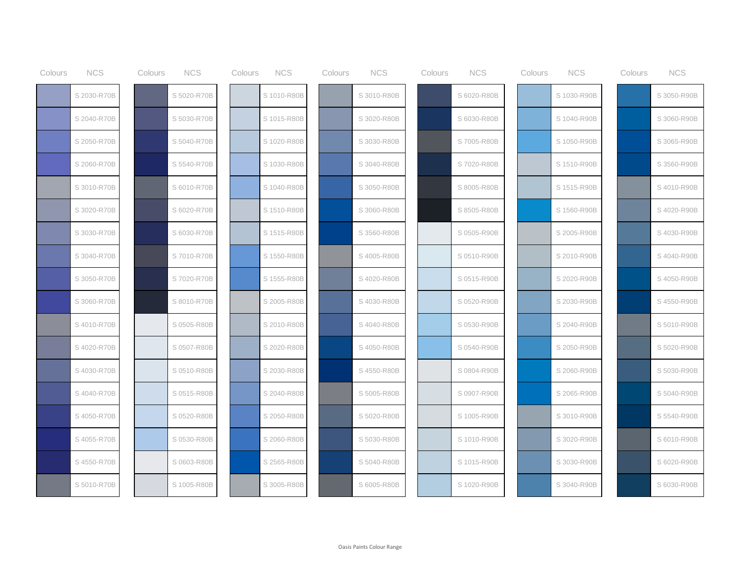| Colours | <b>NCS</b>  | Colours | <b>NCS</b>  | Colours | <b>NCS</b>  | Colours | <b>NCS</b>  | Colours | <b>NCS</b>  | Colours | <b>NCS</b>  | Colours | <b>NCS</b>  |
|---------|-------------|---------|-------------|---------|-------------|---------|-------------|---------|-------------|---------|-------------|---------|-------------|
|         | S 2030-R70B |         | S 5020-R70B |         | S 1010-R80B |         | S 3010-R80B |         | S 6020-R80B |         | S 1030-R90B |         | S 3050-R90B |
|         | S 2040-R70B |         | S 5030-R70B |         | S 1015-R80B |         | S 3020-R80B |         | S 6030-R80B |         | S 1040-R90B |         | S 3060-R90B |
|         | S 2050-R70B |         | S 5040-R70B |         | S 1020-R80B |         | S 3030-R80B |         | S 7005-R80B |         | S 1050-R90B |         | S 3065-R90B |
|         | S 2060-R70B |         | S 5540-R70B |         | S 1030-R80B |         | S 3040-R80B |         | S 7020-R80B |         | S 1510-R90B |         | S 3560-R90B |
|         | S 3010-R70B |         | S 6010-R70B |         | S 1040-R80B |         | S 3050-R80B |         | S 8005-R80B |         | S 1515-R90B |         | S 4010-R90B |
|         | S 3020-R70B |         | S 6020-R70B |         | S 1510-R80B |         | S 3060-R80B |         | S 8505-R80B |         | S 1560-R90B |         | S 4020-R90B |
|         | S 3030-R70B |         | S 6030-R70B |         | S 1515-R80B |         | S 3560-R80B |         | S 0505-R90B |         | S 2005-R90B |         | S 4030-R90B |
|         | S 3040-R70B |         | S 7010-R70B |         | S 1550-R80B |         | S 4005-R80B |         | S 0510-R90B |         | S 2010-R90B |         | S 4040-R90B |
|         | S 3050-R70B |         | S 7020-R70B |         | S 1555-R80B |         | S 4020-R80B |         | S 0515-R90B |         | S 2020-R90B |         | S 4050-R90B |
|         | S 3060-R70B |         | S 8010-R70B |         | S 2005-R80B |         | S 4030-R80B |         | S 0520-R90B |         | S 2030-R90B |         | S 4550-R90B |
|         | S 4010-R70B |         | S 0505-R80B |         | S 2010-R80B |         | S 4040-R80B |         | S 0530-R90B |         | S 2040-R90B |         | S 5010-R90B |
|         | S 4020-R70B |         | S 0507-R80B |         | S 2020-R80B |         | S 4050-R80B |         | S 0540-R90B |         | S 2050-R90B |         | S 5020-R90B |
|         | S 4030-R70B |         | S 0510-R80B |         | S 2030-R80B |         | S 4550-R80B |         | S 0804-R90B |         | S 2060-R90B |         | S 5030-R90B |
|         | S 4040-R70B |         | S 0515-R80B |         | S 2040-R80B |         | S 5005-R80B |         | S 0907-R90B |         | S 2065-R90B |         | S 5040-R90B |
|         | S 4050-R70B |         | S 0520-R80B |         | S 2050-R80B |         | S 5020-R80B |         | S 1005-R90B |         | S 3010-R90B |         | S 5540-R90B |
|         | S 4055-R70B |         | S 0530-R80B |         | S 2060-R80B |         | S 5030-R80B |         | S 1010-R90B |         | S 3020-R90B |         | S 6010-R90B |
|         | S 4550-R70B |         | S 0603-R80B |         | S 2565-R80B |         | S 5040-R80B |         | S 1015-R90B |         | S 3030-R90B |         | S 6020-R90B |
|         | S 5010-R70B |         | S 1005-R80B |         | S 3005-R80B |         | S 6005-R80B |         | S 1020-R90B |         | S 3040-R90B |         | S 6030-R90B |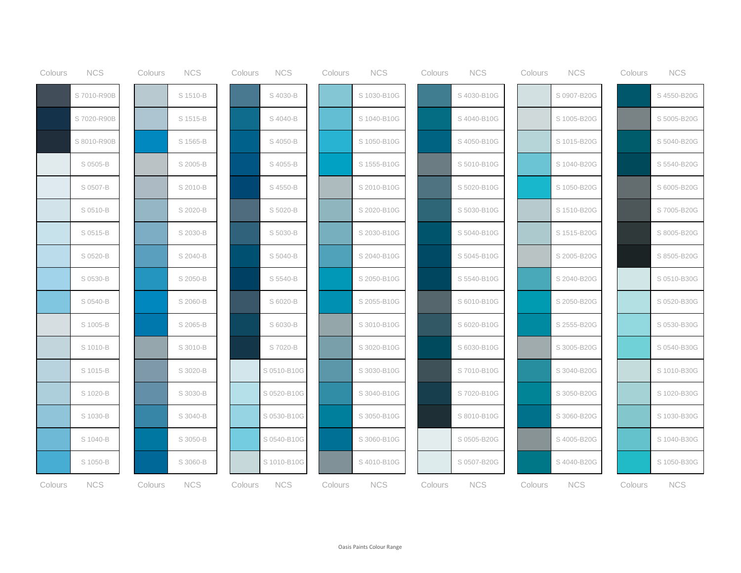| Colours | <b>NCS</b>  | Colours | <b>NCS</b> | Colours | <b>NCS</b>  | Colours | <b>NCS</b>  | Colours | <b>NCS</b>  | Colours | <b>NCS</b>  | Colours | <b>NCS</b>  |
|---------|-------------|---------|------------|---------|-------------|---------|-------------|---------|-------------|---------|-------------|---------|-------------|
|         | S 7010-R90B |         | S 1510-B   |         | S 4030-B    |         | S 1030-B10G |         | S 4030-B10G |         | S 0907-B20G |         | S 4550-B20G |
|         | S 7020-R90B |         | S 1515-B   |         | S 4040-B    |         | S 1040-B10G |         | S 4040-B10G |         | S 1005-B20G |         | S 5005-B20G |
|         | S 8010-R90B |         | S 1565-B   |         | S 4050-B    |         | S 1050-B10G |         | S 4050-B10G |         | S 1015-B20G |         | S 5040-B20G |
|         | S 0505-B    |         | S 2005-B   |         | S 4055-B    |         | S 1555-B10G |         | S 5010-B10G |         | S 1040-B20G |         | S 5540-B20G |
|         | S 0507-B    |         | S 2010-B   |         | S 4550-B    |         | S 2010-B10G |         | S 5020-B10G |         | S 1050-B20G |         | S 6005-B20G |
|         | S 0510-B    |         | S 2020-B   |         | S 5020-B    |         | S 2020-B10G |         | S 5030-B10G |         | S 1510-B20G |         | S 7005-B20G |
|         | S 0515-B    |         | S 2030-B   |         | S 5030-B    |         | S 2030-B10G |         | S 5040-B10G |         | S 1515-B20G |         | S 8005-B20G |
|         | S 0520-B    |         | S 2040-B   |         | S 5040-B    |         | S 2040-B10G |         | S 5045-B10G |         | S 2005-B20G |         | S 8505-B20G |
|         | S 0530-B    |         | S 2050-B   |         | S 5540-B    |         | S 2050-B10G |         | S 5540-B10G |         | S 2040-B20G |         | S 0510-B30G |
|         | S 0540-B    |         | S 2060-B   |         | S 6020-B    |         | S 2055-B10G |         | S 6010-B10G |         | S 2050-B20G |         | S 0520-B30G |
|         | S 1005-B    |         | S 2065-B   |         | S 6030-B    |         | S 3010-B10G |         | S 6020-B10G |         | S 2555-B20G |         | S 0530-B30G |
|         | S 1010-B    |         | S 3010-B   |         | S 7020-B    |         | S 3020-B10G |         | S 6030-B10G |         | S 3005-B20G |         | S 0540-B30G |
|         | S 1015-B    |         | S 3020-B   |         | S 0510-B10G |         | S 3030-B10G |         | S7010-B10G  |         | S 3040-B20G |         | S 1010-B30G |
|         | S 1020-B    |         | S 3030-B   |         | S 0520-B10G |         | S 3040-B10G |         | S 7020-B10G |         | S 3050-B20G |         | S 1020-B30G |
|         | S 1030-B    |         | S 3040-B   |         | S 0530-B10G |         | S 3050-B10G |         | S 8010-B10G |         | S 3060-B20G |         | S 1030-B30G |
|         | S 1040-B    |         | S 3050-B   |         | S 0540-B10G |         | S 3060-B10G |         | S 0505-B20G |         | S 4005-B20G |         | S 1040-B30G |
|         | S 1050-B    |         | S 3060-B   |         | S 1010-B10G |         | S 4010-B10G |         | S 0507-B20G |         | S 4040-B20G |         | S 1050-B30G |
| Colours | <b>NCS</b>  | Colours | <b>NCS</b> | Colours | <b>NCS</b>  | Colours | <b>NCS</b>  | Colours | <b>NCS</b>  | Colours | <b>NCS</b>  | Colours | <b>NCS</b>  |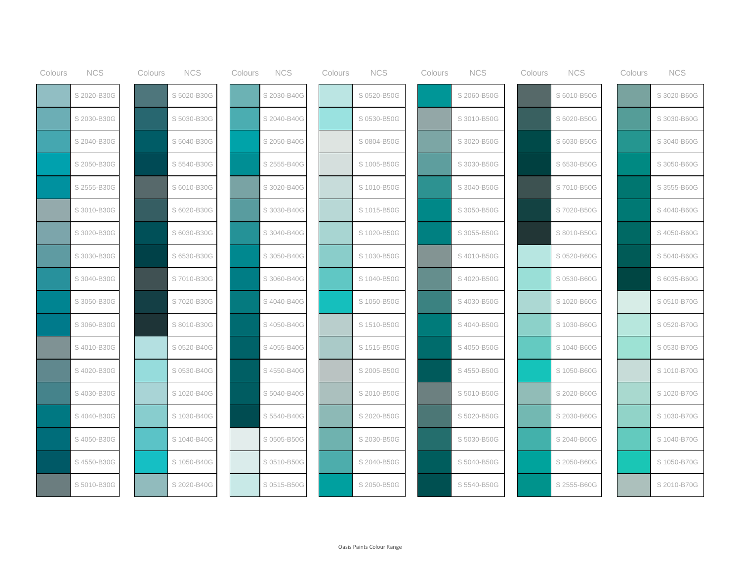| Colours | <b>NCS</b>  | Colours | <b>NCS</b>  | Colours | <b>NCS</b>  | Colours | <b>NCS</b>  | Colours | <b>NCS</b>  | Colours | <b>NCS</b>  | Colours | <b>NCS</b>  |
|---------|-------------|---------|-------------|---------|-------------|---------|-------------|---------|-------------|---------|-------------|---------|-------------|
|         | S 2020-B30G |         | S 5020-B30G |         | S 2030-B40G |         | S 0520-B50G |         | S 2060-B50G |         | S 6010-B50G |         | S 3020-B60G |
|         | S 2030-B30G |         | S 5030-B30G |         | S 2040-B40G |         | S 0530-B50G |         | S 3010-B50G |         | S 6020-B50G |         | S 3030-B60G |
|         | S 2040-B30G |         | S 5040-B30G |         | S 2050-B40G |         | S 0804-B50G |         | S 3020-B50G |         | S 6030-B50G |         | S 3040-B60G |
|         | S 2050-B30G |         | S 5540-B30G |         | S 2555-B40G |         | S 1005-B50G |         | S 3030-B50G |         | S 6530-B50G |         | S 3050-B60G |
|         | S 2555-B30G |         | S 6010-B30G |         | S 3020-B40G |         | S 1010-B50G |         | S 3040-B50G |         | S 7010-B50G |         | S 3555-B60G |
|         | S 3010-B30G |         | S 6020-B30G |         | S 3030-B40G |         | S 1015-B50G |         | S 3050-B50G |         | S 7020-B50G |         | S 4040-B60G |
|         | S 3020-B30G |         | S 6030-B30G |         | S 3040-B40G |         | S 1020-B50G |         | S 3055-B50G |         | S 8010-B50G |         | S 4050-B60G |
|         | S 3030-B30G |         | S 6530-B30G |         | S 3050-B40G |         | S 1030-B50G |         | S 4010-B50G |         | S 0520-B60G |         | S 5040-B60G |
|         | S 3040-B30G |         | S 7010-B30G |         | S 3060-B40G |         | S 1040-B50G |         | S 4020-B50G |         | S 0530-B60G |         | S 6035-B60G |
|         | S 3050-B30G |         | S 7020-B30G |         | S 4040-B40G |         | S 1050-B50G |         | S 4030-B50G |         | S 1020-B60G |         | S 0510-B70G |
|         | S 3060-B30G |         | S 8010-B30G |         | S 4050-B40G |         | S 1510-B50G |         | S 4040-B50G |         | S 1030-B60G |         | S 0520-B70G |
|         | S 4010-B30G |         | S 0520-B40G |         | S 4055-B40G |         | S 1515-B50G |         | S 4050-B50G |         | S 1040-B60G |         | S 0530-B70G |
|         | S 4020-B30G |         | S 0530-B40G |         | S 4550-B40G |         | S 2005-B50G |         | S 4550-B50G |         | S 1050-B60G |         | S 1010-B70G |
|         | S 4030-B30G |         | S 1020-B40G |         | S 5040-B40G |         | S 2010-B50G |         | S 5010-B50G |         | S 2020-B60G |         | S 1020-B70G |
|         | S 4040-B30G |         | S 1030-B40G |         | S 5540-B40G |         | S 2020-B50G |         | S 5020-B50G |         | S 2030-B60G |         | S 1030-B70G |
|         | S 4050-B30G |         | S 1040-B40G |         | S 0505-B50G |         | S 2030-B50G |         | S 5030-B50G |         | S 2040-B60G |         | S 1040-B70G |
|         | S 4550-B30G |         | S 1050-B40G |         | S 0510-B50G |         | S 2040-B50G |         | S 5040-B50G |         | S 2050-B60G |         | S 1050-B70G |
|         | S 5010-B30G |         | S 2020-B40G |         | S 0515-B50G |         | S 2050-B50G |         | S 5540-B50G |         | S 2555-B60G |         | S 2010-B70G |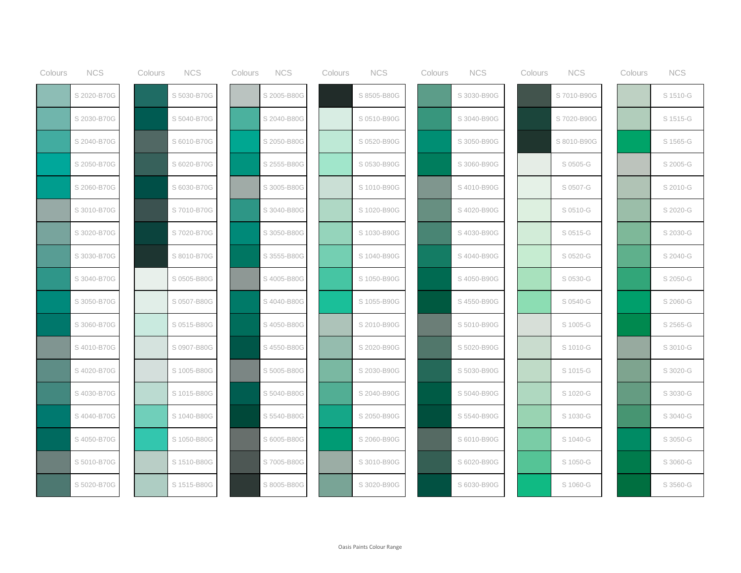| Colours | <b>NCS</b>  | Colours | <b>NCS</b>  | Colours | <b>NCS</b>  | Colours | <b>NCS</b>  | Colours | <b>NCS</b>  | Colours | <b>NCS</b>  | Colours | <b>NCS</b> |
|---------|-------------|---------|-------------|---------|-------------|---------|-------------|---------|-------------|---------|-------------|---------|------------|
|         | S 2020-B70G |         | S 5030-B70G |         | S 2005-B80G |         | S 8505-B80G |         | S 3030-B90G |         | S7010-B90G  |         | S 1510-G   |
|         | S 2030-B70G |         | S 5040-B70G |         | S 2040-B80G |         | S 0510-B90G |         | S 3040-B90G |         | S 7020-B90G |         | S 1515-G   |
|         | S 2040-B70G |         | S 6010-B70G |         | S 2050-B80G |         | S 0520-B90G |         | S 3050-B90G |         | S 8010-B90G |         | S 1565-G   |
|         | S 2050-B70G |         | S 6020-B70G |         | S 2555-B80G |         | S 0530-B90G |         | S 3060-B90G |         | S 0505-G    |         | S 2005-G   |
|         | S 2060-B70G |         | S 6030-B70G |         | S 3005-B80G |         | S 1010-B90G |         | S 4010-B90G |         | S 0507-G    |         | S 2010-G   |
|         | S 3010-B70G |         | S 7010-B70G |         | S 3040-B80G |         | S 1020-B90G |         | S 4020-B90G |         | S 0510-G    |         | S 2020-G   |
|         | S 3020-B70G |         | S 7020-B70G |         | S 3050-B80G |         | S 1030-B90G |         | S 4030-B90G |         | S 0515-G    |         | S 2030-G   |
|         | S 3030-B70G |         | S 8010-B70G |         | S 3555-B80G |         | S 1040-B90G |         | S 4040-B90G |         | S 0520-G    |         | S 2040-G   |
|         | S 3040-B70G |         | S 0505-B80G |         | S 4005-B80G |         | S 1050-B90G |         | S 4050-B90G |         | S 0530-G    |         | S 2050-G   |
|         | S 3050-B70G |         | S 0507-B80G |         | S 4040-B80G |         | S 1055-B90G |         | S 4550-B90G |         | S 0540-G    |         | S 2060-G   |
|         | S 3060-B70G |         | S 0515-B80G |         | S 4050-B80G |         | S 2010-B90G |         | S 5010-B90G |         | S 1005-G    |         | S 2565-G   |
|         | S 4010-B70G |         | S 0907-B80G |         | S 4550-B80G |         | S 2020-B90G |         | S 5020-B90G |         | S 1010-G    |         | S 3010-G   |
|         | S 4020-B70G |         | S 1005-B80G |         | S 5005-B80G |         | S 2030-B90G |         | S 5030-B90G |         | S 1015-G    |         | S 3020-G   |
|         | S 4030-B70G |         | S 1015-B80G |         | S 5040-B80G |         | S 2040-B90G |         | S 5040-B90G |         | S 1020-G    |         | S 3030-G   |
|         | S 4040-B70G |         | S 1040-B80G |         | S 5540-B80G |         | S 2050-B90G |         | S 5540-B90G |         | S 1030-G    |         | S 3040-G   |
|         | S 4050-B70G |         | S 1050-B80G |         | S 6005-B80G |         | S 2060-B90G |         | S 6010-B90G |         | S 1040-G    |         | S 3050-G   |
|         | S 5010-B70G |         | S 1510-B80G |         | S7005-B80G  |         | S 3010-B90G |         | S 6020-B90G |         | S 1050-G    |         | S 3060-G   |
|         | S 5020-B70G |         | S 1515-B80G |         | S 8005-B80G |         | S 3020-B90G |         | S 6030-B90G |         | S 1060-G    |         | S 3560-G   |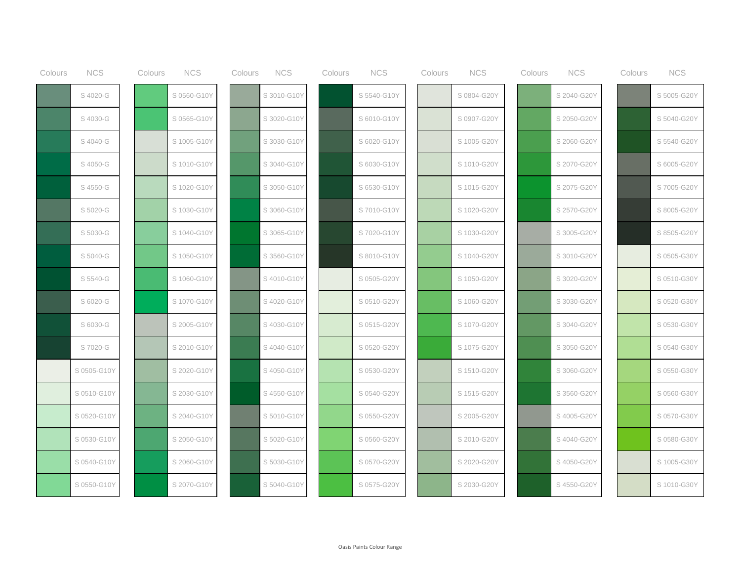| Colours | <b>NCS</b>  | Colours | <b>NCS</b>  | Colours | <b>NCS</b>  | Colours | <b>NCS</b>  | Colours | <b>NCS</b>  | Colours | <b>NCS</b>  | Colours | <b>NCS</b>  |
|---------|-------------|---------|-------------|---------|-------------|---------|-------------|---------|-------------|---------|-------------|---------|-------------|
|         | S 4020-G    |         | S 0560-G10Y |         | S 3010-G10Y |         | S 5540-G10Y |         | S 0804-G20Y |         | S 2040-G20Y |         | S 5005-G20Y |
|         | S 4030-G    |         | S 0565-G10Y |         | S 3020-G10Y |         | S 6010-G10Y |         | S 0907-G20Y |         | S 2050-G20Y |         | S 5040-G20Y |
|         | S 4040-G    |         | S 1005-G10Y |         | S 3030-G10Y |         | S 6020-G10Y |         | S 1005-G20Y |         | S 2060-G20Y |         | S 5540-G20Y |
|         | S 4050-G    |         | S 1010-G10Y |         | S 3040-G10Y |         | S 6030-G10Y |         | S 1010-G20Y |         | S 2070-G20Y |         | S 6005-G20Y |
|         | S 4550-G    |         | S 1020-G10Y |         | S 3050-G10Y |         | S 6530-G10Y |         | S 1015-G20Y |         | S 2075-G20Y |         | S 7005-G20Y |
|         | S 5020-G    |         | S 1030-G10Y |         | S 3060-G10Y |         | S7010-G10Y  |         | S 1020-G20Y |         | S 2570-G20Y |         | S 8005-G20Y |
|         | S 5030-G    |         | S 1040-G10Y |         | S 3065-G10Y |         | S 7020-G10Y |         | S 1030-G20Y |         | S 3005-G20Y |         | S 8505-G20Y |
|         | S 5040-G    |         | S 1050-G10Y |         | S 3560-G10Y |         | S 8010-G10Y |         | S 1040-G20Y |         | S 3010-G20Y |         | S 0505-G30Y |
|         | S 5540-G    |         | S 1060-G10Y |         | S4010-G10Y  |         | S 0505-G20Y |         | S 1050-G20Y |         | S 3020-G20Y |         | S 0510-G30Y |
|         | S 6020-G    |         | S 1070-G10Y |         | S4020-G10Y  |         | S 0510-G20Y |         | S 1060-G20Y |         | S 3030-G20Y |         | S 0520-G30Y |
|         | S 6030-G    |         | S 2005-G10Y |         | S 4030-G10Y |         | S 0515-G20Y |         | S 1070-G20Y |         | S 3040-G20Y |         | S 0530-G30Y |
|         | S 7020-G    |         | S 2010-G10Y |         | S4040-G10Y  |         | S 0520-G20Y |         | S 1075-G20Y |         | S 3050-G20Y |         | S 0540-G30Y |
|         | S 0505-G10Y |         | S 2020-G10Y |         | S4050-G10Y  |         | S 0530-G20Y |         | S 1510-G20Y |         | S 3060-G20Y |         | S 0550-G30Y |
|         | S 0510-G10Y |         | S 2030-G10Y |         | S4550-G10Y  |         | S 0540-G20Y |         | S 1515-G20Y |         | S 3560-G20Y |         | S 0560-G30Y |
|         | S 0520-G10Y |         | S 2040-G10Y |         | S 5010-G10Y |         | S 0550-G20Y |         | S 2005-G20Y |         | S 4005-G20Y |         | S 0570-G30Y |
|         | S 0530-G10Y |         | S 2050-G10Y |         | S 5020-G10Y |         | S 0560-G20Y |         | S 2010-G20Y |         | S 4040-G20Y |         | S 0580-G30Y |
|         | S 0540-G10Y |         | S 2060-G10Y |         | S 5030-G10Y |         | S 0570-G20Y |         | S 2020-G20Y |         | S 4050-G20Y |         | S 1005-G30Y |
|         | S 0550-G10Y |         | S 2070-G10Y |         | S 5040-G10Y |         | S 0575-G20Y |         | S 2030-G20Y |         | S 4550-G20Y |         | S 1010-G30Y |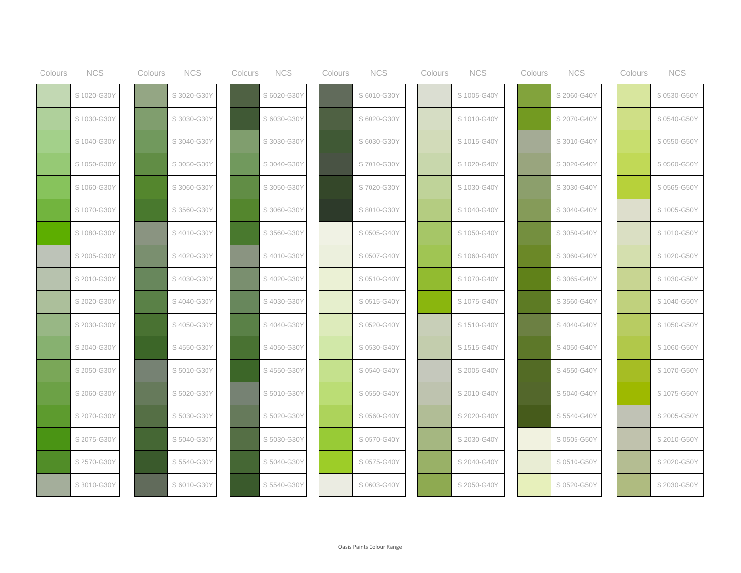| Colours | <b>NCS</b>  | Colours | <b>NCS</b>  | Colours | <b>NCS</b>  | Colours | <b>NCS</b>  | Colours | <b>NCS</b>  | Colours | <b>NCS</b>  | Colours | <b>NCS</b>  |
|---------|-------------|---------|-------------|---------|-------------|---------|-------------|---------|-------------|---------|-------------|---------|-------------|
|         | S 1020-G30Y |         | S 3020-G30Y |         | S 6020-G30Y |         | S 6010-G30Y |         | S 1005-G40Y |         | S 2060-G40Y |         | S 0530-G50Y |
|         | S 1030-G30Y |         | S 3030-G30Y |         | S 6030-G30Y |         | S 6020-G30Y |         | S 1010-G40Y |         | S 2070-G40Y |         | S 0540-G50Y |
|         | S 1040-G30Y |         | S 3040-G30Y |         | S 3030-G30Y |         | S 6030-G30Y |         | S 1015-G40Y |         | S 3010-G40Y |         | S 0550-G50Y |
|         | S 1050-G30Y |         | S 3050-G30Y |         | S 3040-G30Y |         | S 7010-G30Y |         | S 1020-G40Y |         | S 3020-G40Y |         | S 0560-G50Y |
|         | S 1060-G30Y |         | S 3060-G30Y |         | S 3050-G30Y |         | S 7020-G30Y |         | S 1030-G40Y |         | S 3030-G40Y |         | S 0565-G50Y |
|         | S 1070-G30Y |         | S 3560-G30Y |         | S 3060-G30Y |         | S 8010-G30Y |         | S 1040-G40Y |         | S 3040-G40Y |         | S 1005-G50Y |
|         | S 1080-G30Y |         | S 4010-G30Y |         | S 3560-G30Y |         | S 0505-G40Y |         | S 1050-G40Y |         | S 3050-G40Y |         | S 1010-G50Y |
|         | S 2005-G30Y |         | S 4020-G30Y |         | S 4010-G30Y |         | S 0507-G40Y |         | S 1060-G40Y |         | S 3060-G40Y |         | S 1020-G50Y |
|         | S 2010-G30Y |         | S4030-G30Y  |         | S 4020-G30Y |         | S 0510-G40Y |         | S 1070-G40Y |         | S 3065-G40Y |         | S 1030-G50Y |
|         | S 2020-G30Y |         | S 4040-G30Y |         | S 4030-G30Y |         | S 0515-G40Y |         | S 1075-G40Y |         | S 3560-G40Y |         | S 1040-G50Y |
|         | S 2030-G30Y |         | S 4050-G30Y |         | S 4040-G30Y |         | S 0520-G40Y |         | S 1510-G40Y |         | S 4040-G40Y |         | S 1050-G50Y |
|         | S 2040-G30Y |         | S 4550-G30Y |         | S 4050-G30Y |         | S 0530-G40Y |         | S 1515-G40Y |         | S 4050-G40Y |         | S 1060-G50Y |
|         | S 2050-G30Y |         | S 5010-G30Y |         | S 4550-G30Y |         | S 0540-G40Y |         | S 2005-G40Y |         | S 4550-G40Y |         | S 1070-G50Y |
|         | S 2060-G30Y |         | S 5020-G30Y |         | S 5010-G30Y |         | S 0550-G40Y |         | S 2010-G40Y |         | S 5040-G40Y |         | S 1075-G50Y |
|         | S 2070-G30Y |         | S 5030-G30Y |         | S 5020-G30Y |         | S 0560-G40Y |         | S 2020-G40Y |         | S 5540-G40Y |         | S 2005-G50Y |
|         | S 2075-G30Y |         | S 5040-G30Y |         | S 5030-G30Y |         | S 0570-G40Y |         | S 2030-G40Y |         | S 0505-G50Y |         | S 2010-G50Y |
|         | S 2570-G30Y |         | S 5540-G30Y |         | S 5040-G30Y |         | S 0575-G40Y |         | S 2040-G40Y |         | S 0510-G50Y |         | S 2020-G50Y |
|         | S 3010-G30Y |         | S 6010-G30Y |         | S 5540-G30\ |         | S 0603-G40Y |         | S 2050-G40Y |         | S 0520-G50Y |         | S 2030-G50Y |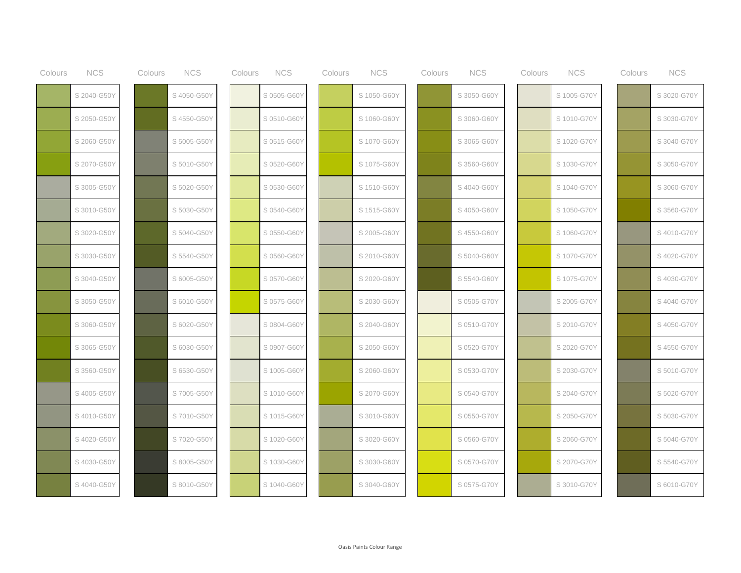| Colours | <b>NCS</b>  | Colours | <b>NCS</b>  | Colours | <b>NCS</b>  | Colours | <b>NCS</b>  | Colours | <b>NCS</b>  | Colours | <b>NCS</b>  | Colours | <b>NCS</b>  |
|---------|-------------|---------|-------------|---------|-------------|---------|-------------|---------|-------------|---------|-------------|---------|-------------|
|         | S 2040-G50Y |         | S 4050-G50Y |         | S 0505-G60Y |         | S 1050-G60Y |         | S 3050-G60Y |         | S 1005-G70Y |         | S 3020-G70Y |
|         | S 2050-G50Y |         | S 4550-G50Y |         | S 0510-G60Y |         | S 1060-G60Y |         | S 3060-G60Y |         | S 1010-G70Y |         | S 3030-G70Y |
|         | S 2060-G50Y |         | S 5005-G50Y |         | S 0515-G60Y |         | S 1070-G60Y |         | S 3065-G60Y |         | S 1020-G70Y |         | S 3040-G70Y |
|         | S 2070-G50Y |         | S 5010-G50Y |         | S 0520-G60Y |         | S 1075-G60Y |         | S 3560-G60Y |         | S 1030-G70Y |         | S 3050-G70Y |
|         | S 3005-G50Y |         | S 5020-G50Y |         | S 0530-G60Y |         | S 1510-G60Y |         | S 4040-G60Y |         | S 1040-G70Y |         | S 3060-G70Y |
|         | S 3010-G50Y |         | S 5030-G50Y |         | S 0540-G60Y |         | S 1515-G60Y |         | S4050-G60Y  |         | S 1050-G70Y |         | S 3560-G70Y |
|         | S 3020-G50Y |         | S 5040-G50Y |         | S 0550-G60Y |         | S 2005-G60Y |         | S4550-G60Y  |         | S 1060-G70Y |         | S 4010-G70Y |
|         | S 3030-G50Y |         | S 5540-G50Y |         | S 0560-G60Y |         | S 2010-G60Y |         | S 5040-G60Y |         | S 1070-G70Y |         | S 4020-G70Y |
|         | S 3040-G50Y |         | S 6005-G50Y |         | S 0570-G60Y |         | S 2020-G60Y |         | S 5540-G60Y |         | S 1075-G70Y |         | S 4030-G70Y |
|         | S 3050-G50Y |         | S 6010-G50Y |         | S 0575-G60Y |         | S 2030-G60Y |         | S 0505-G70Y |         | S 2005-G70Y |         | S 4040-G70Y |
|         | S 3060-G50Y |         | S 6020-G50Y |         | S 0804-G60Y |         | S 2040-G60Y |         | S 0510-G70Y |         | S 2010-G70Y |         | S 4050-G70Y |
|         | S 3065-G50Y |         | S 6030-G50Y |         | S 0907-G60Y |         | S 2050-G60Y |         | S 0520-G70Y |         | S 2020-G70Y |         | S 4550-G70Y |
|         | S 3560-G50Y |         | S 6530-G50Y |         | S 1005-G60Y |         | S 2060-G60Y |         | S 0530-G70Y |         | S 2030-G70Y |         | S 5010-G70Y |
|         | S 4005-G50Y |         | S 7005-G50Y |         | S 1010-G60Y |         | S 2070-G60Y |         | S 0540-G70Y |         | S 2040-G70Y |         | S 5020-G70Y |
|         | S 4010-G50Y |         | S 7010-G50Y |         | S 1015-G60Y |         | S 3010-G60Y |         | S 0550-G70Y |         | S 2050-G70Y |         | S 5030-G70Y |
|         | S 4020-G50Y |         | S 7020-G50Y |         | S 1020-G60Y |         | S 3020-G60Y |         | S 0560-G70Y |         | S 2060-G70Y |         | S 5040-G70Y |
|         | S 4030-G50Y |         | S 8005-G50Y |         | S 1030-G60Y |         | S 3030-G60Y |         | S 0570-G70Y |         | S 2070-G70Y |         | S 5540-G70Y |
|         | S 4040-G50Y |         | S 8010-G50Y |         | S 1040-G60Y |         | S 3040-G60Y |         | S 0575-G70Y |         | S 3010-G70Y |         | S 6010-G70Y |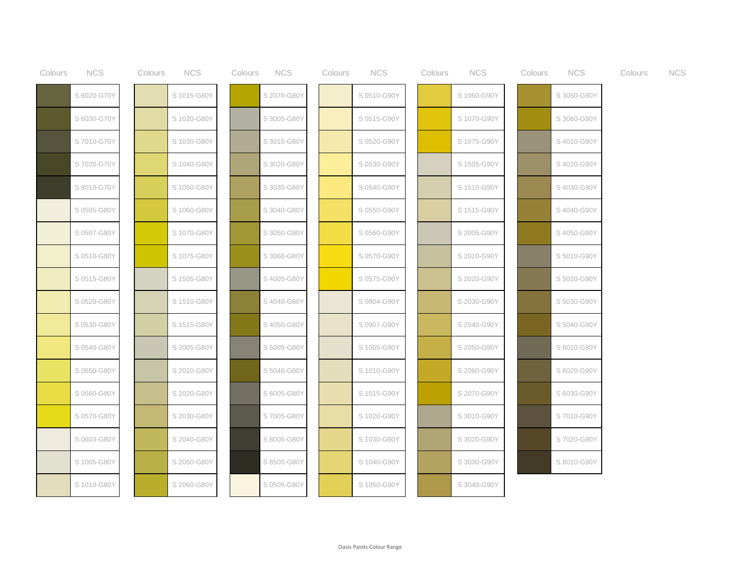| Colours | <b>NCS</b>  | Colours | <b>NCS</b>  | Colours | <b>NCS</b>  | Colours | <b>NCS</b>  | Colours | <b>NCS</b>  | Colours | <b>NCS</b>  | Colours | <b>NCS</b> |
|---------|-------------|---------|-------------|---------|-------------|---------|-------------|---------|-------------|---------|-------------|---------|------------|
|         | S 6020-G70Y |         | S 1015-G80Y |         | S 2070-G80Y |         | S 0510-G90Y |         | S 1060-G90Y |         | S 3050-G90Y |         |            |
|         | S 6030-G70Y |         | S 1020-G80Y |         | S 3005-G80Y |         | S 0515-G90Y |         | S 1070-G90Y |         | S 3060-G90Y |         |            |
|         | S7010-G70Y  |         | S 1030-G80Y |         | S 3010-G80Y |         | S 0520-G90Y |         | S 1075-G90Y |         | S 4010-G90Y |         |            |
|         | S 7020-G70Y |         | S 1040-G80Y |         | S 3020-G80Y |         | S 0530-G90Y |         | S 1505-G90Y |         | S 4020-G90Y |         |            |
|         | S 8010-G70Y |         | S 1050-G80Y |         | S 3030-G80Y |         | S 0540-G90Y |         | S 1510-G90Y |         | S 4030-G90Y |         |            |
|         | S 0505-G80Y |         | S 1060-G80Y |         | S 3040-G80Y |         | S 0550-G90Y |         | S 1515-G90Y |         | S 4040-G90Y |         |            |
|         | S 0507-G80Y |         | S 1070-G80Y |         | S 3050-G80Y |         | S 0560-G90Y |         | S 2005-G90Y |         | S 4050-G90Y |         |            |
|         | S 0510-G80Y |         | S 1075-G80Y |         | S 3060-G80Y |         | S 0570-G90Y |         | S 2010-G90Y |         | S 5010-G90Y |         |            |
|         | S 0515-G80Y |         | S 1505-G80Y |         | S 4005-G80Y |         | S 0575-G90Y |         | S 2020-G90Y |         | S 5020-G90Y |         |            |
|         | S 0520-G80Y |         | S 1510-G80Y |         | S4040-G80Y  |         | S 0804-G90Y |         | S 2030-G90Y |         | S 5030-G90Y |         |            |
|         | S 0530-G80Y |         | S 1515-G80Y |         | S 4050-G80Y |         | S 0907-G90Y |         | S 2040-G90Y |         | S 5040-G90Y |         |            |
|         | S 0540-G80Y |         | S 2005-G80Y |         | S 5005-G80Y |         | S 1005-G90Y |         | S 2050-G90Y |         | S 6010-G90Y |         |            |
|         | S 0550-G80Y |         | S 2010-G80Y |         | S 5040-G80Y |         | S 1010-G90Y |         | S 2060-G90Y |         | S 6020-G90Y |         |            |
|         | S 0560-G80Y |         | S 2020-G80Y |         | S 6005-G80Y |         | S 1015-G90Y |         | S 2070-G90Y |         | S 6030-G90Y |         |            |
|         | S 0570-G80Y |         | S 2030-G80Y |         | S7005-G80Y  |         | S 1020-G90Y |         | S 3010-G90Y |         | S 7010-G90Y |         |            |
|         | S 0603-G80Y |         | S 2040-G80Y |         | S 8005-G80Y |         | S 1030-G90Y |         | S 3020-G90Y |         | S 7020-G90Y |         |            |
|         | S 1005-G80Y |         | S 2050-G80Y |         | S 8505-G80Y |         | S 1040-G90Y |         | S 3030-G90Y |         | S 8010-G90Y |         |            |
|         | S 1010-G80Y |         | S 2060-G80Y |         | S 0505-G90Y |         | S 1050-G90Y |         | S 3040-G90Y |         |             |         |            |
|         |             |         |             |         |             |         |             |         |             |         |             |         |            |